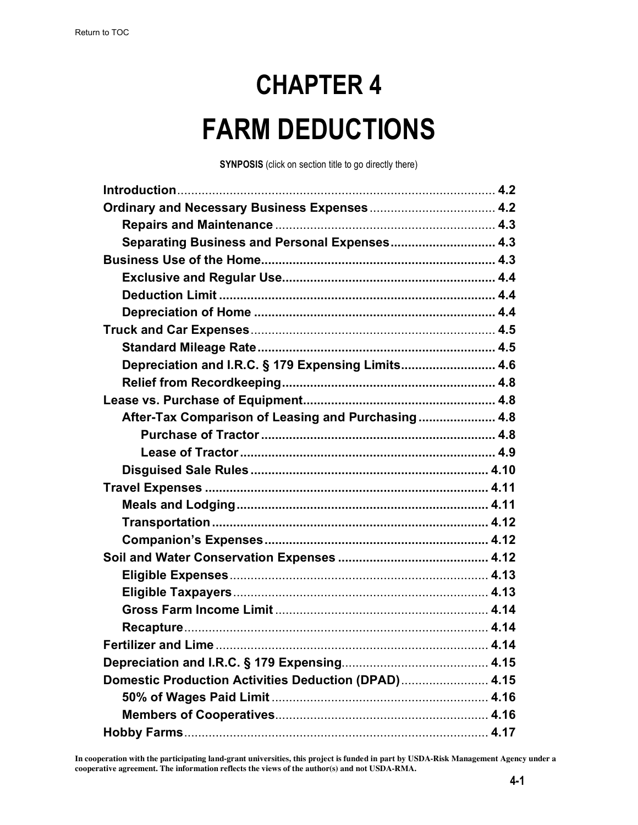# **CHAPTER 4 FARM DEDUCTIONS**

**SYNPOSIS** (click on section title to go directly there)

| Separating Business and Personal Expenses 4.3        |  |
|------------------------------------------------------|--|
|                                                      |  |
|                                                      |  |
|                                                      |  |
|                                                      |  |
|                                                      |  |
|                                                      |  |
| Depreciation and I.R.C. § 179 Expensing Limits 4.6   |  |
|                                                      |  |
|                                                      |  |
| After-Tax Comparison of Leasing and Purchasing 4.8   |  |
|                                                      |  |
|                                                      |  |
|                                                      |  |
|                                                      |  |
|                                                      |  |
|                                                      |  |
|                                                      |  |
|                                                      |  |
|                                                      |  |
|                                                      |  |
|                                                      |  |
|                                                      |  |
|                                                      |  |
|                                                      |  |
| Domestic Production Activities Deduction (DPAD) 4.15 |  |
|                                                      |  |
|                                                      |  |
|                                                      |  |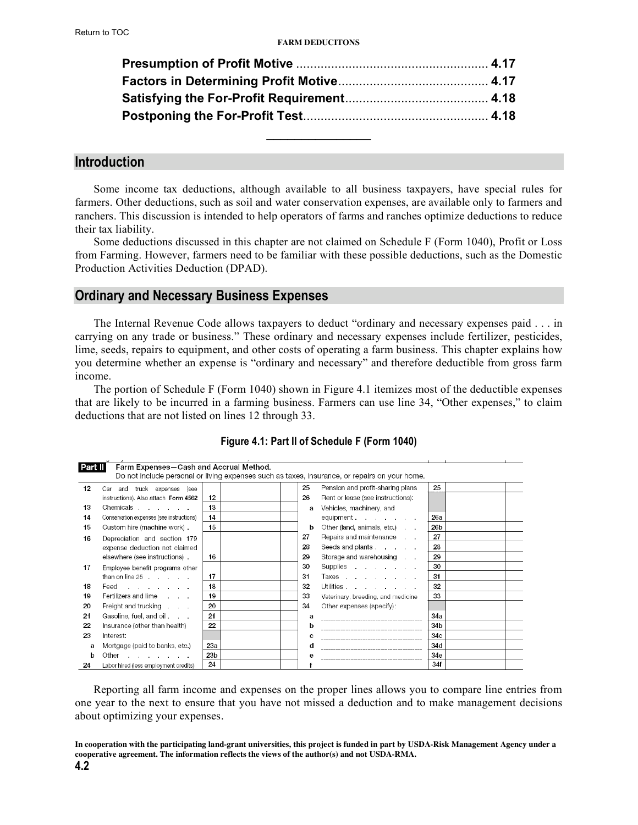<span id="page-1-0"></span>

### **Introduction**

Some income tax deductions, although available to all business taxpayers, have special rules for farmers. Other deductions, such as soil and water conservation expenses, are available only to farmers and ranchers. This discussion is intended to help operators of farms and ranches optimize deductions to reduce their tax liability.

Some deductions discussed in this chapter are not claimed on Schedule F (Form 1040), Profit or Loss from Farming. However, farmers need to be familiar with these possible deductions, such as the Domestic Production Activities Deduction (DPAD).

#### **Ordinary and Necessary Business Expenses**

The Internal Revenue Code allows taxpayers to deduct "ordinary and necessary expenses paid . . . in carrying on any trade or business." These ordinary and necessary expenses include fertilizer, pesticides, lime, seeds, repairs to equipment, and other costs of operating a farm business. This chapter explains how you determine whether an expense is "ordinary and necessary" and therefore deductible from gross farm income.

The portion of Schedule F (Form 1040) shown in Figure 4.1 itemizes most of the deductible expenses that are likely to be incurred in a farming business. Farmers can use line 34, "Other expenses," to claim deductions that are not listed on lines 12 through 33.

| Part II | Farm Expenses-Cash and Accrual Method.                                                   |     |    | Do not include personal or living expenses such as taxes, insurance, or repairs on your home. |     |  |
|---------|------------------------------------------------------------------------------------------|-----|----|-----------------------------------------------------------------------------------------------|-----|--|
| 12      | and truck expenses<br>(see<br>Car                                                        |     | 25 | Pension and profit-sharing plans                                                              | 25  |  |
|         | instructions). Also attach Form 4562                                                     | 12  | 26 | Rent or lease (see instructions):                                                             |     |  |
| 13      | Chemicals                                                                                | 13  | a  | Vehicles, machinery, and                                                                      |     |  |
| 14      | Conservation expenses (see instructions)                                                 | 14  |    | equipment                                                                                     | 26a |  |
| 15      | Custom hire (machine work).                                                              | 15  | b  | Other (land, animals, etc.)                                                                   | 26b |  |
| 16      | Depreciation and section 179                                                             |     | 27 | Repairs and maintenance                                                                       | 27  |  |
|         | expense deduction not claimed                                                            |     | 28 | Seeds and plants                                                                              | 28  |  |
|         | elsewhere (see instructions).                                                            | 16  | 29 | Storage and warehousing                                                                       | 29  |  |
| 17      | Employee benefit programs other                                                          |     | 30 |                                                                                               | 30  |  |
|         | than on line $25$ .                                                                      | 17  | 31 | Taxes                                                                                         | 31  |  |
| 18      | Feed<br>the contract of the contract of                                                  | 18  | 32 | Utilities                                                                                     | 32  |  |
| 19      | Fertilizers and lime                                                                     | 19  | 33 | Veterinary, breeding, and medicine                                                            | 33  |  |
| 20      | Freight and trucking                                                                     | 20  | 34 | Other expenses (specify):                                                                     |     |  |
| 21      | Gasoline, fuel, and oil                                                                  | 21  | a  |                                                                                               | 34a |  |
| 22      | Insurance (other than health)                                                            | 22  | b  |                                                                                               | 34b |  |
| 23      | Interest:                                                                                |     | c  |                                                                                               | 34c |  |
| a       | Mortgage (paid to banks, etc.)                                                           | 23a | d  |                                                                                               | 34d |  |
| b       | Other<br>the contract of the contract of the contract of the contract of the contract of | 23b |    |                                                                                               | 34e |  |
| 24      | Labor hired (less employment credits)                                                    | 24  |    |                                                                                               | 34f |  |

#### **Figure 4.1: Part II of Schedule F (Form 1040)**

Reporting all farm income and expenses on the proper lines allows you to compare line entries from one year to the next to ensure that you have not missed a deduction and to make management decisions about optimizing your expenses.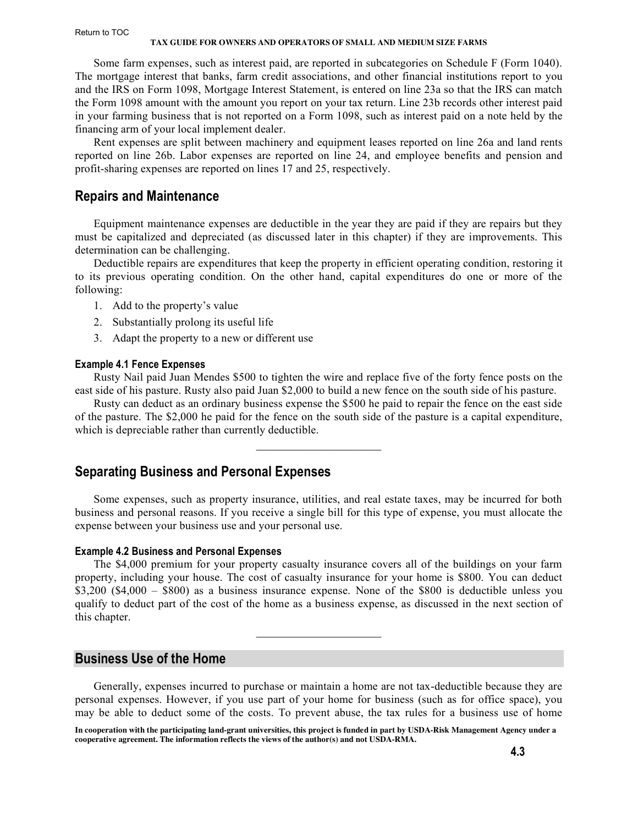<span id="page-2-0"></span>Some farm expenses, such as interest paid, are reported in subcategories on Schedule F (Form 1040). The mortgage interest that banks, farm credit associations, and other financial institutions report to you and the IRS on Form 1098, Mortgage Interest Statement, is entered on line 23a so that the IRS can match the Form 1098 amount with the amount you report on your tax return. Line 23b records other interest paid in your farming business that is not reported on a Form 1098, such as interest paid on a note held by the financing arm of your local implement dealer.

Rent expenses are split between machinery and equipment leases reported on line 26a and land rents reported on line 26b. Labor expenses are reported on line 24, and employee benefits and pension and profit-sharing expenses are reported on lines 17 and 25, respectively.

## **Repairs and Maintenance**

Equipment maintenance expenses are deductible in the year they are paid if they are repairs but they must be capitalized and depreciated (as discussed later in this chapter) if they are improvements. This determination can be challenging.

Deductible repairs are expenditures that keep the property in efficient operating condition, restoring it to its previous operating condition. On the other hand, capital expenditures do one or more of the following:

- 1. Add to the property's value
- 2. Substantially prolong its useful life
- 3. Adapt the property to a new or different use

#### **Example 4.1 Fence Expenses**

Rusty Nail paid Juan Mendes \$500 to tighten the wire and replace five of the forty fence posts on the east side of his pasture. Rusty also paid Juan \$2,000 to build a new fence on the south side of his pasture.

Rusty can deduct as an ordinary business expense the \$500 he paid to repair the fence on the east side of the pasture. The \$2,000 he paid for the fence on the south side of the pasture is a capital expenditure, which is depreciable rather than currently deductible.

 $\mathcal{L}_\text{max}$  , where  $\mathcal{L}_\text{max}$  , we have the set of  $\mathcal{L}_\text{max}$ 

## **Separating Business and Personal Expenses**

Some expenses, such as property insurance, utilities, and real estate taxes, may be incurred for both business and personal reasons. If you receive a single bill for this type of expense, you must allocate the expense between your business use and your personal use.

#### **Example 4.2 Business and Personal Expenses**

The \$4,000 premium for your property casualty insurance covers all of the buildings on your farm property, including your house. The cost of casualty insurance for your home is \$800. You can deduct \$3,200 (\$4,000 – \$800) as a business insurance expense. None of the \$800 is deductible unless you qualify to deduct part of the cost of the home as a business expense, as discussed in the next section of this chapter.

 $\mathcal{L}_\text{max}$ 

## **Business Use of the Home**

Generally, expenses incurred to purchase or maintain a home are not tax-deductible because they are personal expenses. However, if you use part of your home for business (such as for office space), you may be able to deduct some of the costs. To prevent abuse, the tax rules for a business use of home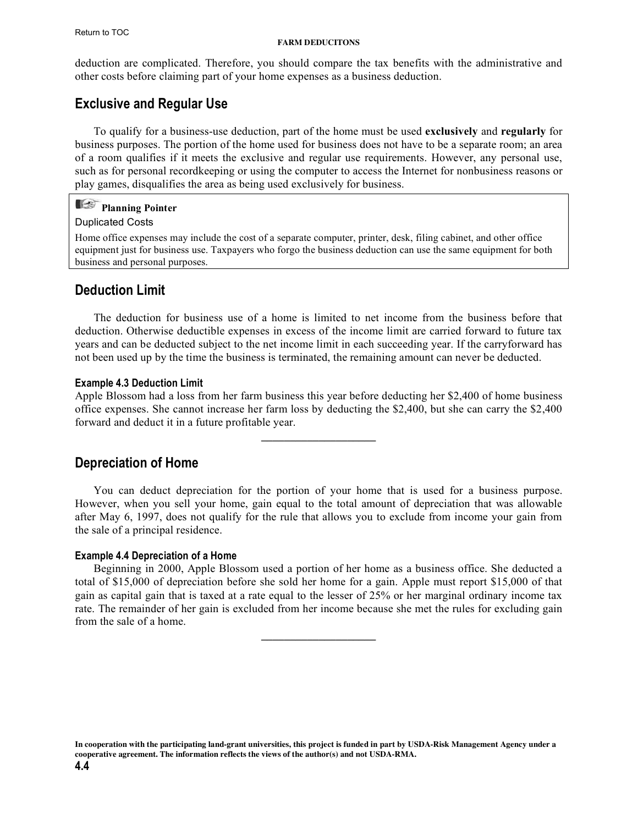<span id="page-3-0"></span>deduction are complicated. Therefore, you should compare the tax benefits with the administrative and other costs before claiming part of your home expenses as a business deduction.

## **Exclusive and Regular Use**

To qualify for a business-use deduction, part of the home must be used **exclusively** and **regularly** for business purposes. The portion of the home used for business does not have to be a separate room; an area of a room qualifies if it meets the exclusive and regular use requirements. However, any personal use, such as for personal recordkeeping or using the computer to access the Internet for nonbusiness reasons or play games, disqualifies the area as being used exclusively for business.

## **Planning Pointer**

#### Duplicated Costs

Home office expenses may include the cost of a separate computer, printer, desk, filing cabinet, and other office equipment just for business use. Taxpayers who forgo the business deduction can use the same equipment for both business and personal purposes.

## **Deduction Limit**

The deduction for business use of a home is limited to net income from the business before that deduction. Otherwise deductible expenses in excess of the income limit are carried forward to future tax years and can be deducted subject to the net income limit in each succeeding year. If the carryforward has not been used up by the time the business is terminated, the remaining amount can never be deducted.

#### **Example 4.3 Deduction Limit**

Apple Blossom had a loss from her farm business this year before deducting her \$2,400 of home business office expenses. She cannot increase her farm loss by deducting the \$2,400, but she can carry the \$2,400 forward and deduct it in a future profitable year.

**\_\_\_\_\_\_\_\_\_\_\_\_\_\_\_\_\_\_\_\_**

## **Depreciation of Home**

You can deduct depreciation for the portion of your home that is used for a business purpose. However, when you sell your home, gain equal to the total amount of depreciation that was allowable after May 6, 1997, does not qualify for the rule that allows you to exclude from income your gain from the sale of a principal residence.

#### **Example 4.4 Depreciation of a Home**

Beginning in 2000, Apple Blossom used a portion of her home as a business office. She deducted a total of \$15,000 of depreciation before she sold her home for a gain. Apple must report \$15,000 of that gain as capital gain that is taxed at a rate equal to the lesser of 25% or her marginal ordinary income tax rate. The remainder of her gain is excluded from her income because she met the rules for excluding gain from the sale of a home.

**\_\_\_\_\_\_\_\_\_\_\_\_\_\_\_\_\_\_\_\_**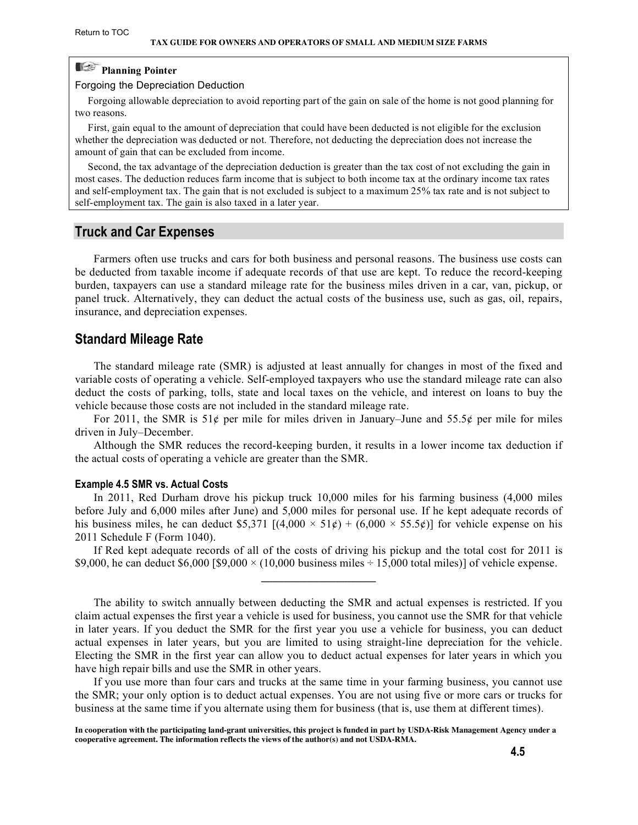## <span id="page-4-0"></span>**Planning Pointer**

Forgoing the Depreciation Deduction

 Forgoing allowable depreciation to avoid reporting part of the gain on sale of the home is not good planning for two reasons.

 First, gain equal to the amount of depreciation that could have been deducted is not eligible for the exclusion whether the depreciation was deducted or not. Therefore, not deducting the depreciation does not increase the amount of gain that can be excluded from income.

 Second, the tax advantage of the depreciation deduction is greater than the tax cost of not excluding the gain in most cases. The deduction reduces farm income that is subject to both income tax at the ordinary income tax rates and self-employment tax. The gain that is not excluded is subject to a maximum 25% tax rate and is not subject to self-employment tax. The gain is also taxed in a later year.

#### **Truck and Car Expenses**

Farmers often use trucks and cars for both business and personal reasons. The business use costs can be deducted from taxable income if adequate records of that use are kept. To reduce the record-keeping burden, taxpayers can use a standard mileage rate for the business miles driven in a car, van, pickup, or panel truck. Alternatively, they can deduct the actual costs of the business use, such as gas, oil, repairs, insurance, and depreciation expenses.

### **Standard Mileage Rate**

The standard mileage rate (SMR) is adjusted at least annually for changes in most of the fixed and variable costs of operating a vehicle. Self-employed taxpayers who use the standard mileage rate can also deduct the costs of parking, tolls, state and local taxes on the vehicle, and interest on loans to buy the vehicle because those costs are not included in the standard mileage rate.

For 2011, the SMR is 51¢ per mile for miles driven in January–June and 55.5¢ per mile for miles driven in July–December.

Although the SMR reduces the record-keeping burden, it results in a lower income tax deduction if the actual costs of operating a vehicle are greater than the SMR.

#### **Example 4.5 SMR vs. Actual Costs**

In 2011, Red Durham drove his pickup truck 10,000 miles for his farming business (4,000 miles before July and 6,000 miles after June) and 5,000 miles for personal use. If he kept adequate records of his business miles, he can deduct \$5,371  $[(4,000 \times 51\ell) + (6,000 \times 55.5\ell)]$  for vehicle expense on his 2011 Schedule F (Form 1040).

If Red kept adequate records of all of the costs of driving his pickup and the total cost for 2011 is \$9,000, he can deduct \$6,000 [\$9,000  $\times$  (10,000 business miles ÷ 15,000 total miles)] of vehicle expense. **\_\_\_\_\_\_\_\_\_\_\_\_\_\_\_\_\_\_\_\_**

The ability to switch annually between deducting the SMR and actual expenses is restricted. If you claim actual expenses the first year a vehicle is used for business, you cannot use the SMR for that vehicle in later years. If you deduct the SMR for the first year you use a vehicle for business, you can deduct actual expenses in later years, but you are limited to using straight-line depreciation for the vehicle. Electing the SMR in the first year can allow you to deduct actual expenses for later years in which you have high repair bills and use the SMR in other years.

If you use more than four cars and trucks at the same time in your farming business, you cannot use the SMR; your only option is to deduct actual expenses. You are not using five or more cars or trucks for business at the same time if you alternate using them for business (that is, use them at different times).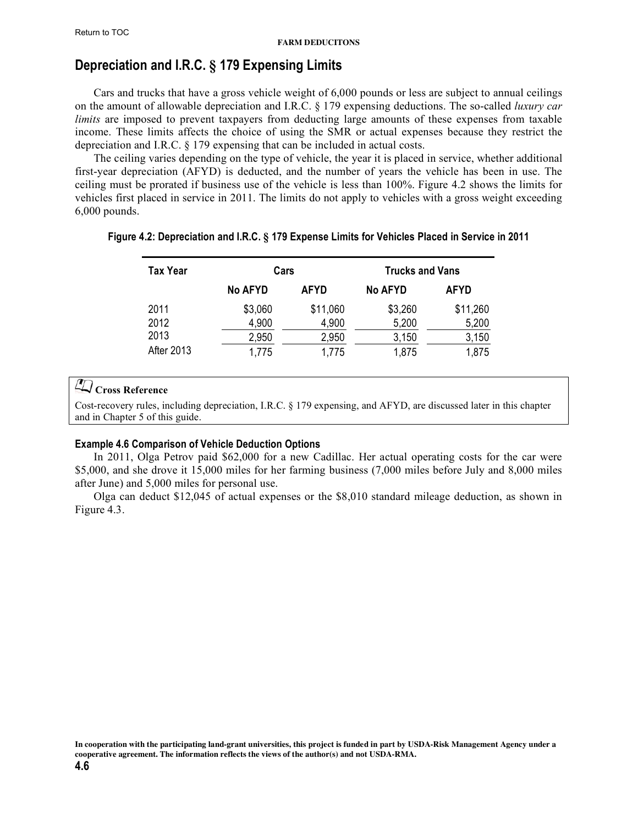## <span id="page-5-0"></span>**Depreciation and I.R.C. § 179 Expensing Limits**

Cars and trucks that have a gross vehicle weight of 6,000 pounds or less are subject to annual ceilings on the amount of allowable depreciation and I.R.C. § 179 expensing deductions. The so-called *luxury car limits* are imposed to prevent taxpayers from deducting large amounts of these expenses from taxable income. These limits affects the choice of using the SMR or actual expenses because they restrict the depreciation and I.R.C. § 179 expensing that can be included in actual costs.

The ceiling varies depending on the type of vehicle, the year it is placed in service, whether additional first-year depreciation (AFYD) is deducted, and the number of years the vehicle has been in use. The ceiling must be prorated if business use of the vehicle is less than 100%. Figure 4.2 shows the limits for vehicles first placed in service in 2011. The limits do not apply to vehicles with a gross weight exceeding 6,000 pounds.

| <b>Tax Year</b>   | Cars           |             | <b>Trucks and Vans</b> |             |  |
|-------------------|----------------|-------------|------------------------|-------------|--|
|                   | <b>No AFYD</b> | <b>AFYD</b> | <b>No AFYD</b>         | <b>AFYD</b> |  |
| 2011              | \$3,060        | \$11,060    | \$3,260                | \$11,260    |  |
| 2012              | 4,900          | 4,900       | 5,200                  | 5,200       |  |
| 2013              | 2,950          | 2,950       | 3,150                  | 3,150       |  |
| <b>After 2013</b> | 1,775          | 1,775       | 1,875                  | 1,875       |  |

#### **Figure 4.2: Depreciation and I.R.C. § 179 Expense Limits for Vehicles Placed in Service in 2011**

## **Cross Reference**

Cost-recovery rules, including depreciation, I.R.C. § [179 expensing, and AFYD, are discussed later in this chapter](#page-14-0) and in Chapter 5 of this guide.

#### **Example 4.6 Comparison of Vehicle Deduction Options**

In 2011, Olga Petrov paid \$62,000 for a new Cadillac. Her actual operating costs for the car were \$5,000, and she drove it 15,000 miles for her farming business (7,000 miles before July and 8,000 miles after June) and 5,000 miles for personal use.

Olga can deduct \$12,045 of actual expenses or the \$8,010 standard mileage deduction, as shown in Figure 4.3.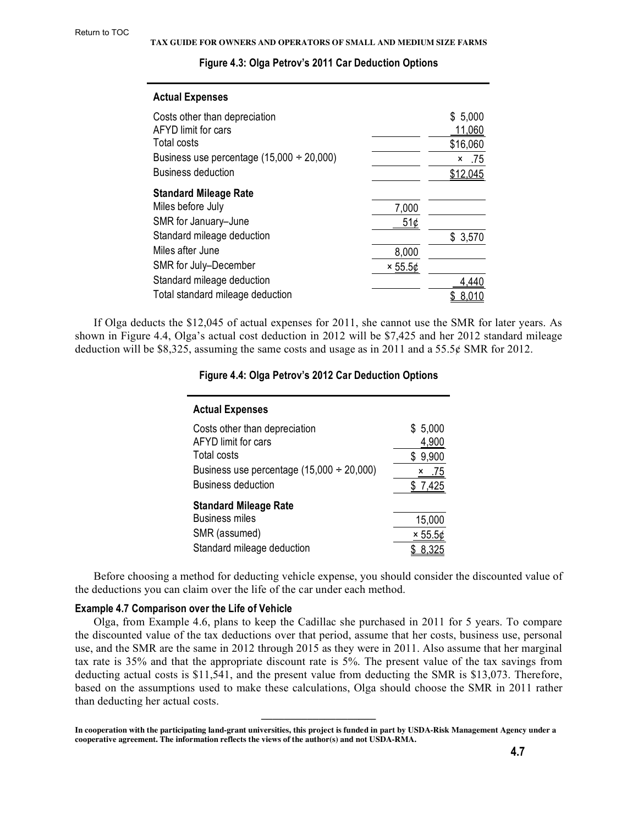| <b>Actual Expenses</b>                         |                |          |
|------------------------------------------------|----------------|----------|
| Costs other than depreciation                  |                | \$5,000  |
| <b>AFYD</b> limit for cars                     |                | 11,060   |
| Total costs                                    |                | \$16,060 |
| Business use percentage $(15,000 \div 20,000)$ |                | .75<br>x |
| <b>Business deduction</b>                      |                | \$12,045 |
| <b>Standard Mileage Rate</b>                   |                |          |
| Miles before July                              | 7,000          |          |
| SMR for January-June                           | 51¢            |          |
| Standard mileage deduction                     |                | \$3,570  |
| Miles after June                               | 8,000          |          |
| SMR for July-December                          | $\times 55.56$ |          |
| Standard mileage deduction                     |                | 4,440    |
| Total standard mileage deduction               |                |          |

#### **Figure 4.3: Olga Petrov's 2011 Car Deduction Options**

If Olga deducts the \$12,045 of actual expenses for 2011, she cannot use the SMR for later years. As shown in Figure 4.4, Olga's actual cost deduction in 2012 will be \$7,425 and her 2012 standard mileage deduction will be \$8,325, assuming the same costs and usage as in 2011 and a 55.5¢ SMR for 2012.

#### **Figure 4.4: Olga Petrov's 2012 Car Deduction Options**

| <b>Actual Expenses</b>                         |                |
|------------------------------------------------|----------------|
| Costs other than depreciation                  | \$5,000        |
| AFYD limit for cars                            | 4,900          |
| Total costs                                    | 9,900<br>S     |
| Business use percentage $(15,000 \div 20,000)$ | .75<br>x       |
| <b>Business deduction</b>                      | \$7,425        |
| <b>Standard Mileage Rate</b>                   |                |
| <b>Business miles</b>                          | 15,000         |
| SMR (assumed)                                  | $\times 55.56$ |
| Standard mileage deduction                     | 8.325          |

Before choosing a method for deducting vehicle expense, you should consider the discounted value of the deductions you can claim over the life of the car under each method.

#### **Example 4.7 Comparison over the Life of Vehicle**

Olga, from Example 4.6, plans to keep the Cadillac she purchased in 2011 for 5 years. To compare the discounted value of the tax deductions over that period, assume that her costs, business use, personal use, and the SMR are the same in 2012 through 2015 as they were in 2011. Also assume that her marginal tax rate is 35% and that the appropriate discount rate is 5%. The present value of the tax savings from deducting actual costs is \$11,541, and the present value from deducting the SMR is \$13,073. Therefore, based on the assumptions used to make these calculations, Olga should choose the SMR in 2011 rather than deducting her actual costs.

**\_\_\_\_\_\_\_\_\_\_\_\_\_\_\_\_\_\_\_\_**

**In cooperation with the participating land-grant universities, this project is funded in part by USDA-Risk Management Agency under a cooperative agreement. The information reflects the views of the author(s) and not USDA-RMA.**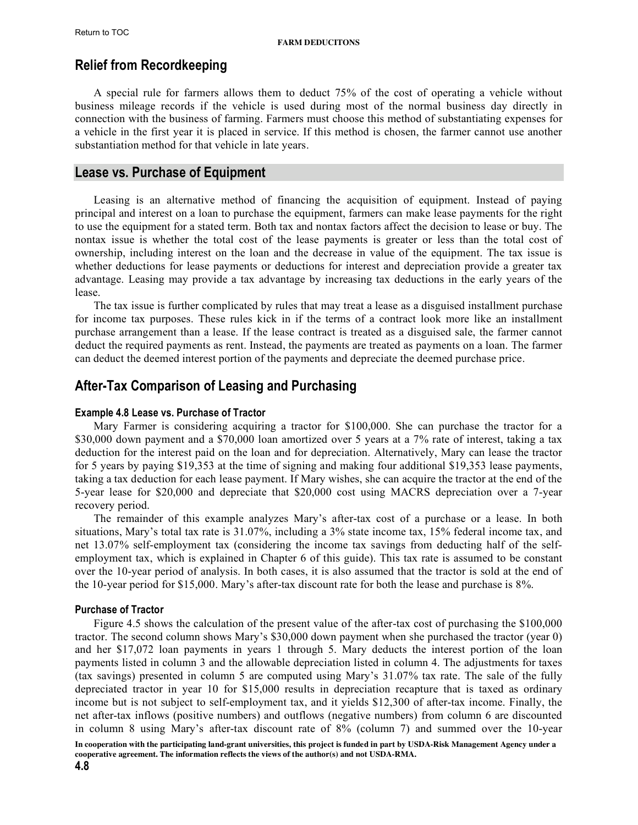## <span id="page-7-0"></span>**Relief from Recordkeeping**

A special rule for farmers allows them to deduct 75% of the cost of operating a vehicle without business mileage records if the vehicle is used during most of the normal business day directly in connection with the business of farming. Farmers must choose this method of substantiating expenses for a vehicle in the first year it is placed in service. If this method is chosen, the farmer cannot use another substantiation method for that vehicle in late years.

### **Lease vs. Purchase of Equipment**

Leasing is an alternative method of financing the acquisition of equipment. Instead of paying principal and interest on a loan to purchase the equipment, farmers can make lease payments for the right to use the equipment for a stated term. Both tax and nontax factors affect the decision to lease or buy. The nontax issue is whether the total cost of the lease payments is greater or less than the total cost of ownership, including interest on the loan and the decrease in value of the equipment. The tax issue is whether deductions for lease payments or deductions for interest and depreciation provide a greater tax advantage. Leasing may provide a tax advantage by increasing tax deductions in the early years of the lease.

The tax issue is further complicated by rules that may treat a lease as a disguised installment purchase for income tax purposes. These rules kick in if the terms of a contract look more like an installment purchase arrangement than a lease. If the lease contract is treated as a disguised sale, the farmer cannot deduct the required payments as rent. Instead, the payments are treated as payments on a loan. The farmer can deduct the deemed interest portion of the payments and depreciate the deemed purchase price.

## **After-Tax Comparison of Leasing and Purchasing**

#### **Example 4.8 Lease vs. Purchase of Tractor**

Mary Farmer is considering acquiring a tractor for \$100,000. She can purchase the tractor for a \$30,000 down payment and a \$70,000 loan amortized over 5 years at a 7% rate of interest, taking a tax deduction for the interest paid on the loan and for depreciation. Alternatively, Mary can lease the tractor for 5 years by paying \$19,353 at the time of signing and making four additional \$19,353 lease payments, taking a tax deduction for each lease payment. If Mary wishes, she can acquire the tractor at the end of the 5-year lease for \$20,000 and depreciate that \$20,000 cost using MACRS depreciation over a 7-year recovery period.

The remainder of this example analyzes Mary's after-tax cost of a purchase or a lease. In both situations, Mary's total tax rate is 31.07%, including a 3% state income tax, 15% federal income tax, and net 13.07% self-employment tax (considering the income tax savings from deducting half of the selfemployment tax, which is explained in Chapter 6 of this guide). This tax rate is assumed to be constant over the 10-year period of analysis. In both cases, it is also assumed that the tractor is sold at the end of the 10-year period for \$15,000. Mary's after-tax discount rate for both the lease and purchase is 8%.

#### **Purchase of Tractor**

Figure 4.5 shows the calculation of the present value of the after-tax cost of purchasing the \$100,000 tractor. The second column shows Mary's \$30,000 down payment when she purchased the tractor (year 0) and her \$17,072 loan payments in years 1 through 5. Mary deducts the interest portion of the loan payments listed in column 3 and the allowable depreciation listed in column 4. The adjustments for taxes (tax savings) presented in column 5 are computed using Mary's 31.07% tax rate. The sale of the fully depreciated tractor in year 10 for \$15,000 results in depreciation recapture that is taxed as ordinary income but is not subject to self-employment tax, and it yields \$12,300 of after-tax income. Finally, the net after-tax inflows (positive numbers) and outflows (negative numbers) from column 6 are discounted in column 8 using Mary's after-tax discount rate of 8% (column 7) and summed over the 10-year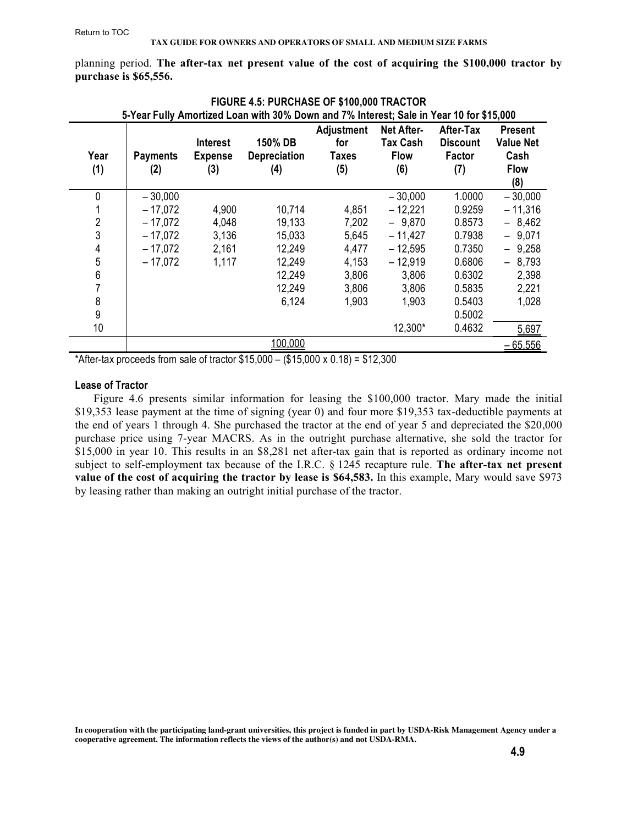<span id="page-8-0"></span>planning period. **The after-tax net present value of the cost of acquiring the \$100,000 tractor by purchase is \$65,556.**

|                | 5-Year Fully Amortized Loan with 30% Down and 7% Interest; Sale in Year 10 for \$15,000 |                                   |                                |                                   |                                              |                                        |                                            |
|----------------|-----------------------------------------------------------------------------------------|-----------------------------------|--------------------------------|-----------------------------------|----------------------------------------------|----------------------------------------|--------------------------------------------|
| Year           | <b>Payments</b>                                                                         | <b>Interest</b><br><b>Expense</b> | 150% DB<br><b>Depreciation</b> | Adjustment<br>for<br><b>Taxes</b> | Net After-<br><b>Tax Cash</b><br><b>Flow</b> | After-Tax<br><b>Discount</b><br>Factor | <b>Present</b><br><b>Value Net</b><br>Cash |
| (1)            | (2)                                                                                     | (3)                               | (4)                            | (5)                               | (6)                                          | (7)                                    | <b>Flow</b>                                |
|                |                                                                                         |                                   |                                |                                   |                                              |                                        | (8)                                        |
| 0              | $-30,000$                                                                               |                                   |                                |                                   | $-30,000$                                    | 1.0000                                 | $-30,000$                                  |
|                | – 17.072                                                                                | 4,900                             | 10,714                         | 4,851                             | $-12,221$                                    | 0.9259                                 | $-11,316$                                  |
| $\overline{2}$ | – 17.072                                                                                | 4,048                             | 19,133                         | 7,202                             | $-9,870$                                     | 0.8573                                 | $-8,462$                                   |
| 3              | $-17,072$                                                                               | 3,136                             | 15,033                         | 5,645                             | $-11,427$                                    | 0.7938                                 | $-9,071$                                   |
| 4              | $-17,072$                                                                               | 2,161                             | 12,249                         | 4,477                             | $-12,595$                                    | 0.7350                                 | $-9,258$                                   |
| 5              | $-17,072$                                                                               | 1,117                             | 12,249                         | 4,153                             | $-12,919$                                    | 0.6806                                 | $-8,793$                                   |
| 6              |                                                                                         |                                   | 12,249                         | 3,806                             | 3,806                                        | 0.6302                                 | 2,398                                      |
| 7              |                                                                                         |                                   | 12,249                         | 3,806                             | 3,806                                        | 0.5835                                 | 2,221                                      |
| 8              |                                                                                         |                                   | 6,124                          | 1,903                             | 1,903                                        | 0.5403                                 | 1,028                                      |
| 9              |                                                                                         |                                   |                                |                                   |                                              | 0.5002                                 |                                            |
| 10             |                                                                                         |                                   |                                |                                   | 12,300*                                      | 0.4632                                 | 5,697                                      |
|                |                                                                                         |                                   | 100,000                        |                                   |                                              |                                        | $-65,556$                                  |

| FIGURE 4.5: PURCHASE OF \$100,000 TRACTOR                                     |
|-------------------------------------------------------------------------------|
| ller Annontino del composito 2001. Donna con del 201 lutono de Colo, in Voca. |

\*After-tax proceeds from sale of tractor  $$15,000 - ($15,000 \times 0.18) = $12,300$ 

#### **Lease of Tractor**

Figure 4.6 presents similar information for leasing the \$100,000 tractor. Mary made the initial \$19,353 lease payment at the time of signing (year 0) and four more \$19,353 tax-deductible payments at the end of years 1 through 4. She purchased the tractor at the end of year 5 and depreciated the \$20,000 purchase price using 7-year MACRS. As in the outright purchase alternative, she sold the tractor for \$15,000 in year 10. This results in an \$8,281 net after-tax gain that is reported as ordinary income not subject to self-employment tax because of the I.R.C. § 1245 recapture rule. **The after-tax net present value of the cost of acquiring the tractor by lease is \$64,583.** In this example, Mary would save \$973 by leasing rather than making an outright initial purchase of the tractor.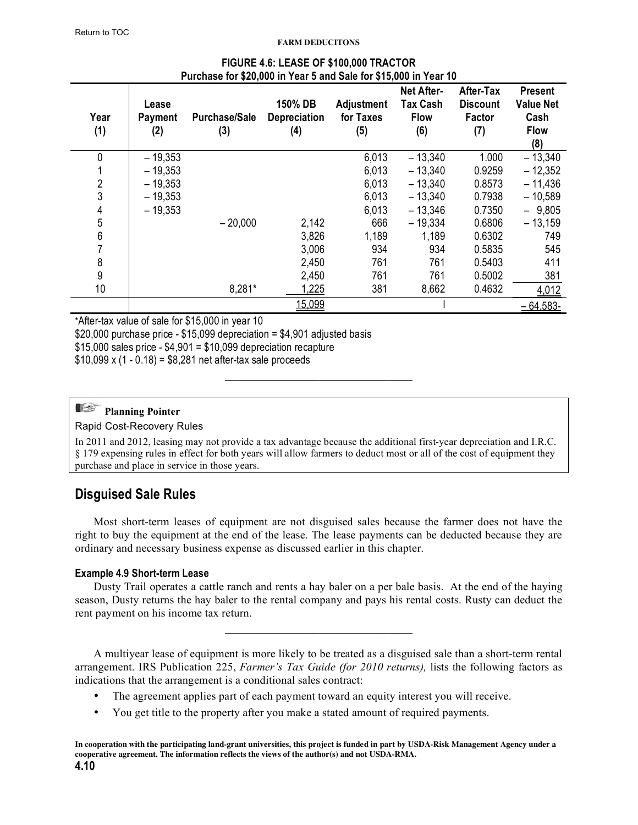<span id="page-9-0"></span>

| Year<br>(1) | Lease<br><b>Payment</b><br>(2) | <b>Purchase/Sale</b><br>(3) | 150% DB<br><b>Depreciation</b><br>(4) | <b>Adjustment</b><br>for Taxes<br>(5) | Net After-<br><b>Tax Cash</b><br><b>Flow</b><br>(6) | After-Tax<br><b>Discount</b><br>Factor<br>(7) | <b>Present</b><br><b>Value Net</b><br>Cash<br><b>Flow</b><br>(8) |
|-------------|--------------------------------|-----------------------------|---------------------------------------|---------------------------------------|-----------------------------------------------------|-----------------------------------------------|------------------------------------------------------------------|
| 0           | $-19,353$                      |                             |                                       | 6,013                                 | $-13,340$                                           | 1.000                                         | $-13,340$                                                        |
|             | $-19,353$                      |                             |                                       | 6,013                                 | $-13,340$                                           | 0.9259                                        | $-12,352$                                                        |
| 2           | $-19,353$                      |                             |                                       | 6,013                                 | $-13,340$                                           | 0.8573                                        | $-11,436$                                                        |
| 3           | $-19,353$                      |                             |                                       | 6,013                                 | $-13,340$                                           | 0.7938                                        | $-10,589$                                                        |
| 4           | $-19,353$                      |                             |                                       | 6,013                                 | $-13,346$                                           | 0.7350                                        | $-9,805$                                                         |
| 5           |                                | $-20,000$                   | 2,142                                 | 666                                   | $-19,334$                                           | 0.6806                                        | $-13,159$                                                        |
| 6           |                                |                             | 3,826                                 | 1,189                                 | 1,189                                               | 0.6302                                        | 749                                                              |
| 7           |                                |                             | 3,006                                 | 934                                   | 934                                                 | 0.5835                                        | 545                                                              |
| 8           |                                |                             | 2,450                                 | 761                                   | 761                                                 | 0.5403                                        | 411                                                              |
| 9           |                                |                             | 2,450                                 | 761                                   | 761                                                 | 0.5002                                        | 381                                                              |
| 10          |                                | 8,281*                      | 1,225                                 | 381                                   | 8,662                                               | 0.4632                                        | 4,012                                                            |
|             |                                |                             | 15,099                                |                                       |                                                     |                                               | $-64,583-$                                                       |

#### **FIGURE 4.6: LEASE OF \$100,000 TRACTOR Purchase for \$20,000 in Year 5 and Sale for \$15,000 in Year 10**

\*After-tax value of sale for \$15,000 in year 10

\$20,000 purchase price - \$15,099 depreciation = \$4,901 adjusted basis

 $$15,000$  sales price -  $$4,901 = $10,099$  depreciation recapture

 $$10,099 \times (1 - 0.18) = $8,281$  net after-tax sale proceeds

## **Planning Pointer**

Rapid Cost-Recovery Rules

In 2011 and 2012, leasing may not provide a tax advantage because the additional first-year depreciation and I.R.C. § 179 expensing rules in effect for both years will allow farmers to deduct most or all of the cost of equipment they purchase and place in service in those years.

 $\mathcal{L}_\text{max}$  , where  $\mathcal{L}_\text{max}$  and  $\mathcal{L}_\text{max}$  and  $\mathcal{L}_\text{max}$ 

## **Disguised Sale Rules**

Most short-term leases of equipment are not disguised sales because the farmer does not have the right to buy the equipment at the end of the lease. The lease payments can be deducted because they are ordinary and necessary business expense as discussed earlier in this chapter.

#### **Example 4.9 Short-term Lease**

Dusty Trail operates a cattle ranch and rents a hay baler on a per bale basis. At the end of the haying season, Dusty returns the hay baler to the rental company and pays his rental costs. Rusty can deduct the rent payment on his income tax return.

 $\mathcal{L}_\text{max}$  , where  $\mathcal{L}_\text{max}$  and  $\mathcal{L}_\text{max}$  and  $\mathcal{L}_\text{max}$ 

A multiyear lease of equipment is more likely to be treated as a disguised sale than a short-term rental arrangement. IRS Publication 225, *Farmer's Tax Guide (for 2010 returns),* lists the following factors as indications that the arrangement is a conditional sales contract:

- The agreement applies part of each payment toward an equity interest you will receive.
- You get title to the property after you make a stated amount of required payments.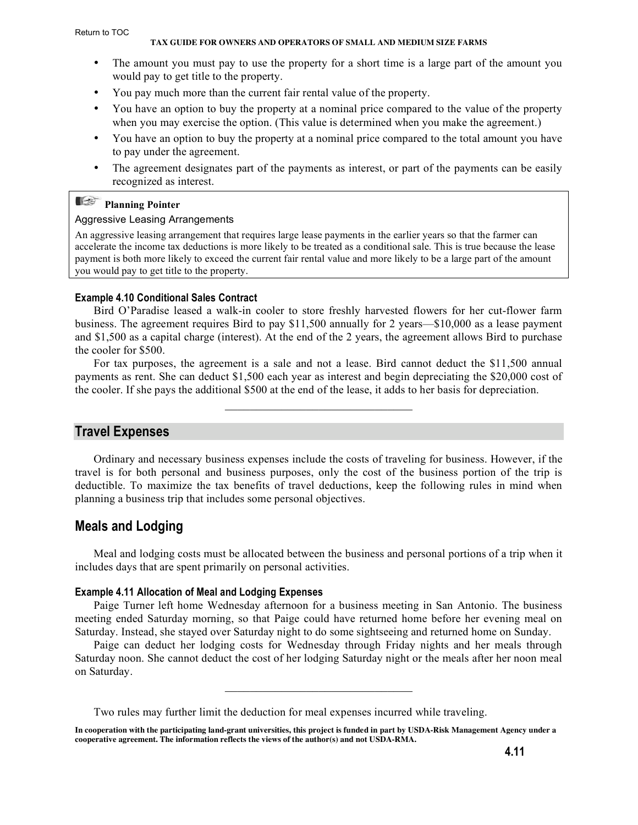#### **TAX GUIDE FOR OWNERS AND OPERATORS OF SMALL AND MEDIUM SIZE FARMS**

- <span id="page-10-0"></span>The amount you must pay to use the property for a short time is a large part of the amount you would pay to get title to the property.
- You pay much more than the current fair rental value of the property.
- You have an option to buy the property at a nominal price compared to the value of the property when you may exercise the option. (This value is determined when you make the agreement.)
- You have an option to buy the property at a nominal price compared to the total amount you have to pay under the agreement.
- The agreement designates part of the payments as interest, or part of the payments can be easily recognized as interest.

## **Planning Pointer**

#### Aggressive Leasing Arrangements

An aggressive leasing arrangement that requires large lease payments in the earlier years so that the farmer can accelerate the income tax deductions is more likely to be treated as a conditional sale. This is true because the lease payment is both more likely to exceed the current fair rental value and more likely to be a large part of the amount you would pay to get title to the property.

#### **Example 4.10 Conditional Sales Contract**

Bird O'Paradise leased a walk-in cooler to store freshly harvested flowers for her cut-flower farm business. The agreement requires Bird to pay \$11,500 annually for 2 years—\$10,000 as a lease payment and \$1,500 as a capital charge (interest). At the end of the 2 years, the agreement allows Bird to purchase the cooler for \$500.

For tax purposes, the agreement is a sale and not a lease. Bird cannot deduct the \$11,500 annual payments as rent. She can deduct \$1,500 each year as interest and begin depreciating the \$20,000 cost of the cooler. If she pays the additional \$500 at the end of the lease, it adds to her basis for depreciation.

 $\mathcal{L}_\text{max}$  , where  $\mathcal{L}_\text{max}$  and  $\mathcal{L}_\text{max}$  and  $\mathcal{L}_\text{max}$ 

## **Travel Expenses**

Ordinary and necessary business expenses include the costs of traveling for business. However, if the travel is for both personal and business purposes, only the cost of the business portion of the trip is deductible. To maximize the tax benefits of travel deductions, keep the following rules in mind when planning a business trip that includes some personal objectives.

#### **Meals and Lodging**

Meal and lodging costs must be allocated between the business and personal portions of a trip when it includes days that are spent primarily on personal activities.

#### **Example 4.11 Allocation of Meal and Lodging Expenses**

Paige Turner left home Wednesday afternoon for a business meeting in San Antonio. The business meeting ended Saturday morning, so that Paige could have returned home before her evening meal on Saturday. Instead, she stayed over Saturday night to do some sightseeing and returned home on Sunday.

Paige can deduct her lodging costs for Wednesday through Friday nights and her meals through Saturday noon. She cannot deduct the cost of her lodging Saturday night or the meals after her noon meal on Saturday.

 $\mathcal{L}_\text{max}$  , where  $\mathcal{L}_\text{max}$  and  $\mathcal{L}_\text{max}$  and  $\mathcal{L}_\text{max}$ 

Two rules may further limit the deduction for meal expenses incurred while traveling.

**In cooperation with the participating land-grant universities, this project is funded in part by USDA-Risk Management Agency under a cooperative agreement. The information reflects the views of the author(s) and not USDA-RMA.**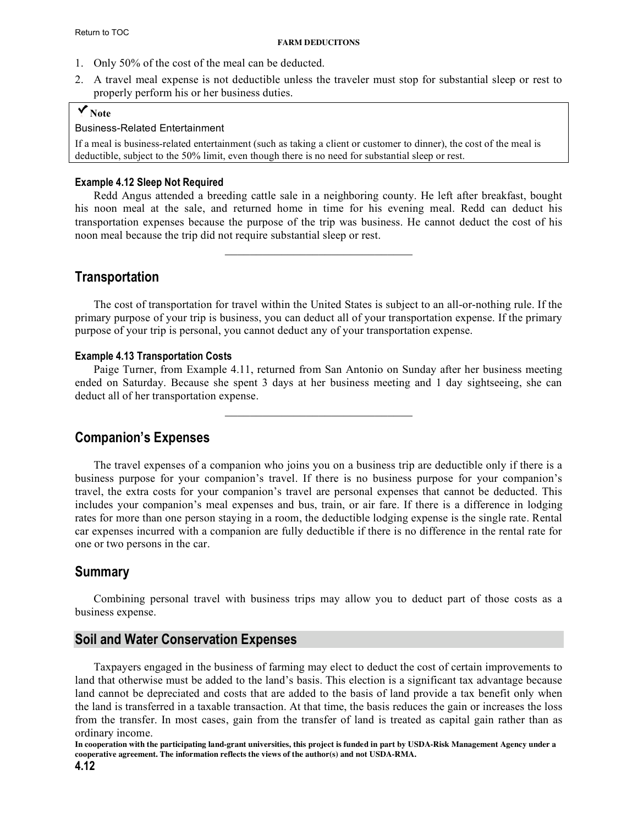- <span id="page-11-0"></span>1. Only 50% of the cost of the meal can be deducted.
- 2. A travel meal expense is not deductible unless the traveler must stop for substantial sleep or rest to properly perform his or her business duties.

## **Note**

#### Business-Related Entertainment

If a meal is business-related entertainment (such as taking a client or customer to dinner), the cost of the meal is deductible, subject to the 50% limit, even though there is no need for substantial sleep or rest.

#### **Example 4.12 Sleep Not Required**

Redd Angus attended a breeding cattle sale in a neighboring county. He left after breakfast, bought his noon meal at the sale, and returned home in time for his evening meal. Redd can deduct his transportation expenses because the purpose of the trip was business. He cannot deduct the cost of his noon meal because the trip did not require substantial sleep or rest.

 $\mathcal{L}_\text{max}$ 

## **Transportation**

The cost of transportation for travel within the United States is subject to an all-or-nothing rule. If the primary purpose of your trip is business, you can deduct all of your transportation expense. If the primary purpose of your trip is personal, you cannot deduct any of your transportation expense.

#### **Example 4.13 Transportation Costs**

Paige Turner, from Example 4.11, returned from San Antonio on Sunday after her business meeting ended on Saturday. Because she spent 3 days at her business meeting and 1 day sightseeing, she can deduct all of her transportation expense.

 $\mathcal{L}_\text{max}$  , where  $\mathcal{L}_\text{max}$  and  $\mathcal{L}_\text{max}$  and  $\mathcal{L}_\text{max}$ 

## **Companion's Expenses**

The travel expenses of a companion who joins you on a business trip are deductible only if there is a business purpose for your companion's travel. If there is no business purpose for your companion's travel, the extra costs for your companion's travel are personal expenses that cannot be deducted. This includes your companion's meal expenses and bus, train, or air fare. If there is a difference in lodging rates for more than one person staying in a room, the deductible lodging expense is the single rate. Rental car expenses incurred with a companion are fully deductible if there is no difference in the rental rate for one or two persons in the car.

## **Summary**

Combining personal travel with business trips may allow you to deduct part of those costs as a business expense.

#### **Soil and Water Conservation Expenses**

Taxpayers engaged in the business of farming may elect to deduct the cost of certain improvements to land that otherwise must be added to the land's basis. This election is a significant tax advantage because land cannot be depreciated and costs that are added to the basis of land provide a tax benefit only when the land is transferred in a taxable transaction. At that time, the basis reduces the gain or increases the loss from the transfer. In most cases, gain from the transfer of land is treated as capital gain rather than as ordinary income.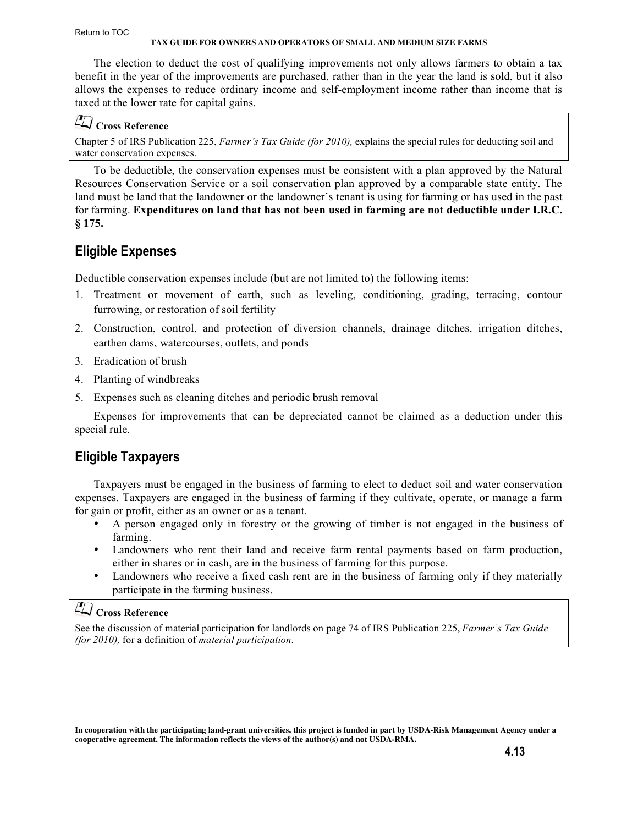#### <span id="page-12-0"></span>Return to TOC

#### **TAX GUIDE FOR OWNERS AND OPERATORS OF SMALL AND MEDIUM SIZE FARMS**

The election to deduct the cost of qualifying improvements not only allows farmers to obtain a tax benefit in the year of the improvements are purchased, rather than in the year the land is sold, but it also allows the expenses to reduce ordinary income and self-employment income rather than income that is taxed at the lower rate for capital gains.

## **Cross Reference**

Chapter 5 of IRS Publication 225, *Farmer's Tax Guide (for 2010),* explains the special rules for deducting soil and water conservation expenses.

To be deductible, the conservation expenses must be consistent with a plan approved by the Natural Resources Conservation Service or a soil conservation plan approved by a comparable state entity. The land must be land that the landowner or the landowner's tenant is using for farming or has used in the past for farming. **Expenditures on land that has not been used in farming are not deductible under I.R.C. § 175.**

## **Eligible Expenses**

Deductible conservation expenses include (but are not limited to) the following items:

- 1. Treatment or movement of earth, such as leveling, conditioning, grading, terracing, contour furrowing, or restoration of soil fertility
- 2. Construction, control, and protection of diversion channels, drainage ditches, irrigation ditches, earthen dams, watercourses, outlets, and ponds
- 3. Eradication of brush
- 4. Planting of windbreaks
- 5. Expenses such as cleaning ditches and periodic brush removal

Expenses for improvements that can be depreciated cannot be claimed as a deduction under this special rule.

## **Eligible Taxpayers**

Taxpayers must be engaged in the business of farming to elect to deduct soil and water conservation expenses. Taxpayers are engaged in the business of farming if they cultivate, operate, or manage a farm for gain or profit, either as an owner or as a tenant.

- A person engaged only in forestry or the growing of timber is not engaged in the business of farming.
- Landowners who rent their land and receive farm rental payments based on farm production, either in shares or in cash, are in the business of farming for this purpose.
- Landowners who receive a fixed cash rent are in the business of farming only if they materially participate in the farming business.

## **Cross Reference**

[See the discussion of material participation for landlords on page 74 of IRS Publication 225,](http://www.irs.gov/pub/irs-pdf/p225.pdf) *Farmer's Tax Guide (for 2010),* for a definition of *material participation*.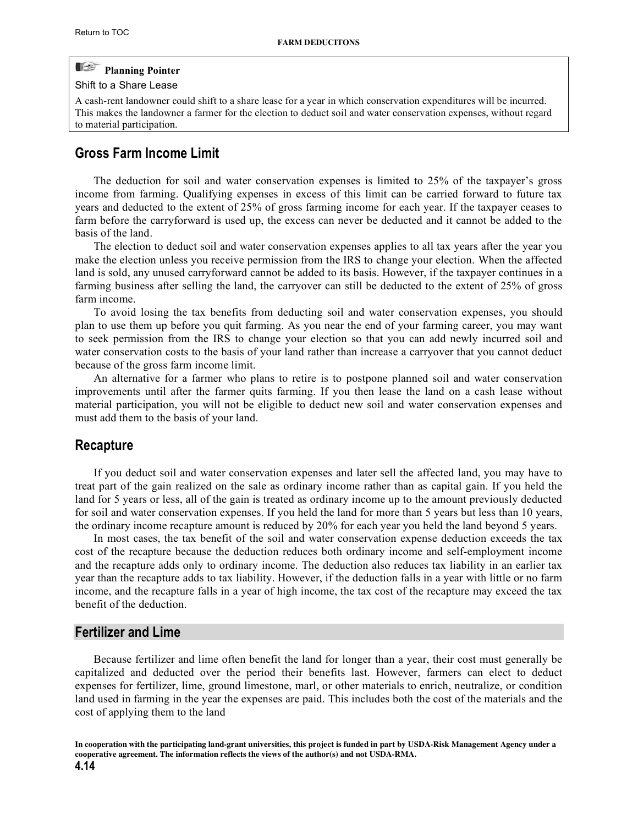#### <span id="page-13-0"></span>E **Planning Pointer**

#### Shift to a Share Lease

A cash-rent landowner could shift to a share lease for a year in which conservation expenditures will be incurred. This makes the landowner a farmer for the election to deduct soil and water conservation expenses, without regard to material participation.

### **Gross Farm Income Limit**

The deduction for soil and water conservation expenses is limited to 25% of the taxpayer's gross income from farming. Qualifying expenses in excess of this limit can be carried forward to future tax years and deducted to the extent of 25% of gross farming income for each year. If the taxpayer ceases to farm before the carryforward is used up, the excess can never be deducted and it cannot be added to the basis of the land.

The election to deduct soil and water conservation expenses applies to all tax years after the year you make the election unless you receive permission from the IRS to change your election. When the affected land is sold, any unused carryforward cannot be added to its basis. However, if the taxpayer continues in a farming business after selling the land, the carryover can still be deducted to the extent of 25% of gross farm income.

To avoid losing the tax benefits from deducting soil and water conservation expenses, you should plan to use them up before you quit farming. As you near the end of your farming career, you may want to seek permission from the IRS to change your election so that you can add newly incurred soil and water conservation costs to the basis of your land rather than increase a carryover that you cannot deduct because of the gross farm income limit.

An alternative for a farmer who plans to retire is to postpone planned soil and water conservation improvements until after the farmer quits farming. If you then lease the land on a cash lease without material participation, you will not be eligible to deduct new soil and water conservation expenses and must add them to the basis of your land.

#### **Recapture**

If you deduct soil and water conservation expenses and later sell the affected land, you may have to treat part of the gain realized on the sale as ordinary income rather than as capital gain. If you held the land for 5 years or less, all of the gain is treated as ordinary income up to the amount previously deducted for soil and water conservation expenses. If you held the land for more than 5 years but less than 10 years, the ordinary income recapture amount is reduced by 20% for each year you held the land beyond 5 years.

In most cases, the tax benefit of the soil and water conservation expense deduction exceeds the tax cost of the recapture because the deduction reduces both ordinary income and self-employment income and the recapture adds only to ordinary income. The deduction also reduces tax liability in an earlier tax year than the recapture adds to tax liability. However, if the deduction falls in a year with little or no farm income, and the recapture falls in a year of high income, the tax cost of the recapture may exceed the tax benefit of the deduction.

### **Fertilizer and Lime**

Because fertilizer and lime often benefit the land for longer than a year, their cost must generally be capitalized and deducted over the period their benefits last. However, farmers can elect to deduct expenses for fertilizer, lime, ground limestone, marl, or other materials to enrich, neutralize, or condition land used in farming in the year the expenses are paid. This includes both the cost of the materials and the cost of applying them to the land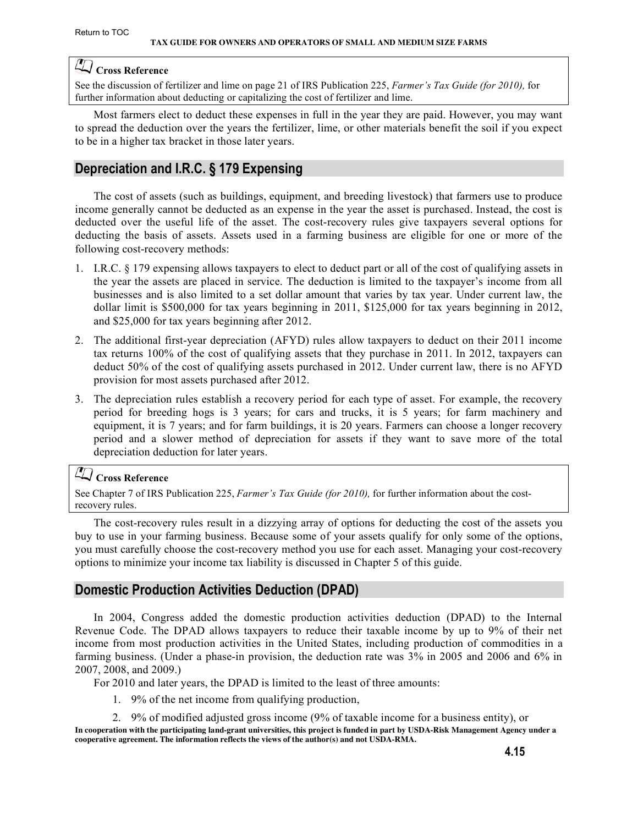## <span id="page-14-0"></span>**Cross Reference**

See the discussion of fertilizer and lime on page 21 of IRS Publication 225, *Farmer's Tax Guide (for 2010),* for [further information about deducting or capitalizing the cost of fertilizer and lime.](http://www.irs.gov/pub/irs-pdf/p225.pdf)

Most farmers elect to deduct these expenses in full in the year they are paid. However, you may want to spread the deduction over the years the fertilizer, lime, or other materials benefit the soil if you expect to be in a higher tax bracket in those later years.

## **Depreciation and I.R.C. § 179 Expensing**

The cost of assets (such as buildings, equipment, and breeding livestock) that farmers use to produce income generally cannot be deducted as an expense in the year the asset is purchased. Instead, the cost is deducted over the useful life of the asset. The cost-recovery rules give taxpayers several options for deducting the basis of assets. Assets used in a farming business are eligible for one or more of the following cost-recovery methods:

- 1. I.R.C. § 179 expensing allows taxpayers to elect to deduct part or all of the cost of qualifying assets in the year the assets are placed in service. The deduction is limited to the taxpayer's income from all businesses and is also limited to a set dollar amount that varies by tax year. Under current law, the dollar limit is \$500,000 for tax years beginning in 2011, \$125,000 for tax years beginning in 2012, and \$25,000 for tax years beginning after 2012.
- 2. The additional first-year depreciation (AFYD) rules allow taxpayers to deduct on their 2011 income tax returns 100% of the cost of qualifying assets that they purchase in 2011. In 2012, taxpayers can deduct 50% of the cost of qualifying assets purchased in 2012. Under current law, there is no AFYD provision for most assets purchased after 2012.
- 3. The depreciation rules establish a recovery period for each type of asset. For example, the recovery period for breeding hogs is 3 years; for cars and trucks, it is 5 years; for farm machinery and equipment, it is 7 years; and for farm buildings, it is 20 years. Farmers can choose a longer recovery period and a slower method of depreciation for assets if they want to save more of the total depreciation deduction for later years.

## **Cross Reference**

[See Chapter 7 of IRS Publication 225,](http://www.irs.gov/pub/irs-pdf/p225.pdf) *Farmer's Tax Guide (for 2010),* for further information about the costrecovery rules.

The cost-recovery rules result in a dizzying array of options for deducting the cost of the assets you buy to use in your farming business. Because some of your assets qualify for only some of the options, you must carefully choose the cost-recovery method you use for each asset. Managing your cost-recovery options to minimize your income tax liability is discussed in Chapter 5 of this guide.

## **Domestic Production Activities Deduction (DPAD)**

In 2004, Congress added the domestic production activities deduction (DPAD) to the Internal Revenue Code. The DPAD allows taxpayers to reduce their taxable income by up to 9% of their net income from most production activities in the United States, including production of commodities in a farming business. (Under a phase-in provision, the deduction rate was 3% in 2005 and 2006 and 6% in 2007, 2008, and 2009.)

- For 2010 and later years, the DPAD is limited to the least of three amounts:
	- 1. 9% of the net income from qualifying production,
- **In cooperation with the participating land-grant universities, this project is funded in part by USDA-Risk Management Agency under a**  2. 9% of modified adjusted gross income (9% of taxable income for a business entity), or

**cooperative agreement. The information reflects the views of the author(s) and not USDA-RMA.**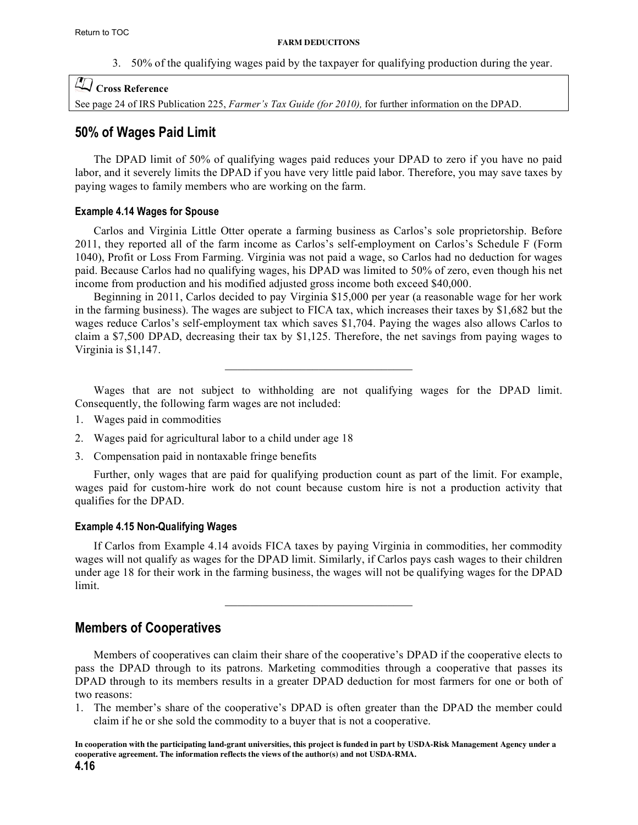3. 50% of the qualifying wages paid by the taxpayer for qualifying production during the year.

## <span id="page-15-0"></span>**Cross Reference**

See page 24 of IRS Publication 225, *Farmer's Tax Guide (for 2010),* [for further information on the DPAD.](http://www.irs.gov/pub/irs-pdf/p225.pdf)

## **50% of Wages Paid Limit**

The DPAD limit of 50% of qualifying wages paid reduces your DPAD to zero if you have no paid labor, and it severely limits the DPAD if you have very little paid labor. Therefore, you may save taxes by paying wages to family members who are working on the farm.

#### **Example 4.14 Wages for Spouse**

Carlos and Virginia Little Otter operate a farming business as Carlos's sole proprietorship. Before 2011, they reported all of the farm income as Carlos's self-employment on Carlos's Schedule F (Form 1040), Profit or Loss From Farming. Virginia was not paid a wage, so Carlos had no deduction for wages paid. Because Carlos had no qualifying wages, his DPAD was limited to 50% of zero, even though his net income from production and his modified adjusted gross income both exceed \$40,000.

Beginning in 2011, Carlos decided to pay Virginia \$15,000 per year (a reasonable wage for her work in the farming business). The wages are subject to FICA tax, which increases their taxes by \$1,682 but the wages reduce Carlos's self-employment tax which saves \$1,704. Paying the wages also allows Carlos to claim a \$7,500 DPAD, decreasing their tax by \$1,125. Therefore, the net savings from paying wages to Virginia is \$1,147.

Wages that are not subject to withholding are not qualifying wages for the DPAD limit. Consequently, the following farm wages are not included:

 $\mathcal{L}_\text{max}$  , where  $\mathcal{L}_\text{max}$  and  $\mathcal{L}_\text{max}$  and  $\mathcal{L}_\text{max}$ 

- 1. Wages paid in commodities
- 2. Wages paid for agricultural labor to a child under age 18
- 3. Compensation paid in nontaxable fringe benefits

Further, only wages that are paid for qualifying production count as part of the limit. For example, wages paid for custom-hire work do not count because custom hire is not a production activity that qualifies for the DPAD.

#### **Example 4.15 Non-Qualifying Wages**

If Carlos from Example 4.14 avoids FICA taxes by paying Virginia in commodities, her commodity wages will not qualify as wages for the DPAD limit. Similarly, if Carlos pays cash wages to their children under age 18 for their work in the farming business, the wages will not be qualifying wages for the DPAD limit.

 $\mathcal{L}_\text{max}$  , where  $\mathcal{L}_\text{max}$  and  $\mathcal{L}_\text{max}$  and  $\mathcal{L}_\text{max}$ 

## **Members of Cooperatives**

Members of cooperatives can claim their share of the cooperative's DPAD if the cooperative elects to pass the DPAD through to its patrons. Marketing commodities through a cooperative that passes its DPAD through to its members results in a greater DPAD deduction for most farmers for one or both of two reasons:

1. The member's share of the cooperative's DPAD is often greater than the DPAD the member could claim if he or she sold the commodity to a buyer that is not a cooperative.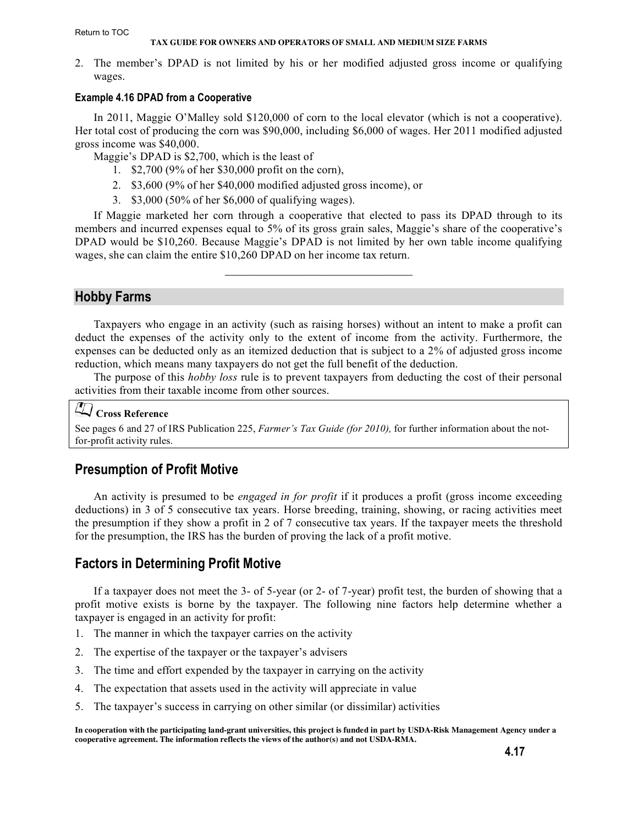#### <span id="page-16-0"></span>Return to TOC

#### **TAX GUIDE FOR OWNERS AND OPERATORS OF SMALL AND MEDIUM SIZE FARMS**

2. The member's DPAD is not limited by his or her modified adjusted gross income or qualifying wages.

#### **Example 4.16 DPAD from a Cooperative**

In 2011, Maggie O'Malley sold \$120,000 of corn to the local elevator (which is not a cooperative). Her total cost of producing the corn was \$90,000, including \$6,000 of wages. Her 2011 modified adjusted gross income was \$40,000.

Maggie's DPAD is \$2,700, which is the least of

- 1. \$2,700 (9% of her \$30,000 profit on the corn),
- 2. \$3,600 (9% of her \$40,000 modified adjusted gross income), or
- 3. \$3,000 (50% of her \$6,000 of qualifying wages).

If Maggie marketed her corn through a cooperative that elected to pass its DPAD through to its members and incurred expenses equal to 5% of its gross grain sales, Maggie's share of the cooperative's DPAD would be \$10,260. Because Maggie's DPAD is not limited by her own table income qualifying wages, she can claim the entire \$10,260 DPAD on her income tax return.

 $\mathcal{L}_\text{max}$  , where  $\mathcal{L}_\text{max}$  and  $\mathcal{L}_\text{max}$  and  $\mathcal{L}_\text{max}$ 

## **Hobby Farms**

Taxpayers who engage in an activity (such as raising horses) without an intent to make a profit can deduct the expenses of the activity only to the extent of income from the activity. Furthermore, the expenses can be deducted only as an itemized deduction that is subject to a 2% of adjusted gross income reduction, which means many taxpayers do not get the full benefit of the deduction.

The purpose of this *hobby loss* rule is to prevent taxpayers from deducting the cost of their personal activities from their taxable income from other sources.

## **Cross Reference**

[See pages 6 and 27 of IRS Publication 225,](http://www.irs.gov/pub/irs-pdf/p225.pdf) *Farmer's Tax Guide (for 2010),* for further information about the notfor-profit activity rules.

## **Presumption of Profit Motive**

An activity is presumed to be *engaged in for profit* if it produces a profit (gross income exceeding deductions) in 3 of 5 consecutive tax years. Horse breeding, training, showing, or racing activities meet the presumption if they show a profit in 2 of 7 consecutive tax years. If the taxpayer meets the threshold for the presumption, the IRS has the burden of proving the lack of a profit motive.

## **Factors in Determining Profit Motive**

If a taxpayer does not meet the 3- of 5-year (or 2- of 7-year) profit test, the burden of showing that a profit motive exists is borne by the taxpayer. The following nine factors help determine whether a taxpayer is engaged in an activity for profit:

- 1. The manner in which the taxpayer carries on the activity
- 2. The expertise of the taxpayer or the taxpayer's advisers
- 3. The time and effort expended by the taxpayer in carrying on the activity
- 4. The expectation that assets used in the activity will appreciate in value
- 5. The taxpayer's success in carrying on other similar (or dissimilar) activities